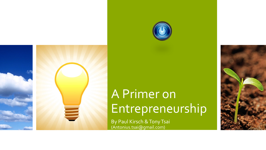



# A Primer on Entrepreneurship

By Paul Kirsch & Tony Tsai (Antonius.tsai@gmail.com)

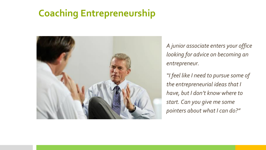### **Coaching Entrepreneurship**



*A junior associate enters your office looking for advice on becoming an entrepreneur.*

*"I feel like I need to pursue some of the entrepreneurial ideas that I have, but I don't know where to start. Can you give me some pointers about what I can do?"*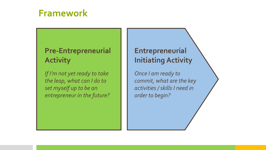### **Framework**

#### **Pre-Entrepreneurial Activity**

*If I'm not yet ready to take the leap, what can I do to set myself up to be an entrepreneur in the future?*

#### **Entrepreneurial Initiating Activity**

*Once I am ready to commit, what are the key activities / skills I need in order to begin?*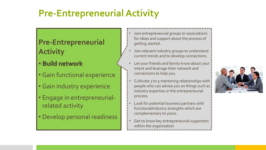- **Build network**
- Gain functional experience
- Gain industry experience
- Engage in entrepreneurialrelated activity
- Develop personal readiness
- Join entrepreneurial groups or associations for ideas and support about the process of getting started.
- Join relevant industry groups to understand current trends and to develop connections.
- Let your friends and family know about your intent and leverage their network and connections to help you.
- Cultivate 3 to 5 mentoring relationships with people who can advise you on things such as industry expertise or the entrepreneurial process.
- Look for potential business partners with functional/industry strengths which are complementary to yours.
- Get to know key entrepreneurial supporters within the organization

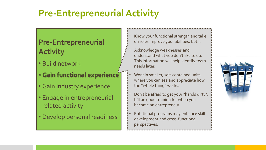- Build network
- **Gain functional experience**
- Gain industry experience
- Engage in entrepreneurialrelated activity
- Develop personal readiness
- Know your functional strength and take on roles improve your abilities, but…
- Acknowledge weaknesses and understand what you don't like to do. This information will help identify team needs later.
- Work in smaller, self-contained units where you can see and appreciate how the "whole thing" works.
- Don't be afraid to get your "hands dirty". It'll be good training for when you become an entrepreneur.
- Rotational programs may enhance skill development and cross-functional perspectives.

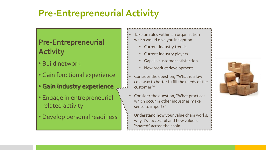- Build network
- Gain functional experience
- **Gain industry experience**
- Engage in entrepreneurialrelated activity
- Develop personal readiness
- Take on roles within an organization which would give you insight on:
	- Current industry trends
	- Current industry players
	- Gaps in customer satisfaction
	- New product development
- Consider the question, "What is a lowcost way to better fulfill the needs of the customer?"
- Consider the question, "What practices which occur in other industries make sense to import?"
- Understand how your value chain works, why it's successful and how value is "shared" across the chain.

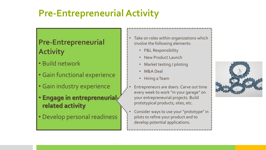#### **Pre-Entrepreneurial Activity**

- Build network
- Gain functional experience
- Gain industry experience
- **Engage in entrepreneurial related activity**
- Develop personal readiness
- Take on roles within organizations which involve the following elements:
	- P&L Responsibility
	- New Product Launch
	- Market testing / piloting
	- M&A Deal
	- Hiring a Team

• Entrepreneurs are doers. Carve out time every week to work "in your garage" on your entrepreneurial projects. Build prototypical products, sites, etc.

• Consider ways to use your "prototype" in pilots to refine your product and to develop potential applications.

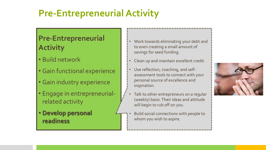- Build network
- Gain functional experience
- Gain industry experience
- Engage in entrepreneurialrelated activity
- **Develop personal readiness**
- Work towards eliminating your debt and to even creating a small amount of savings for seed funding.
- Clean up and maintain excellent credit.
- Use reflection, coaching, and selfassessment tools to connect with your personal source of excellence and inspiration.
- Talk to other entrepreneurs on a regular (weekly) basis. Their ideas and attitude will begin to rub off on you.
- Build social connections with people to whom you wish to aspire.

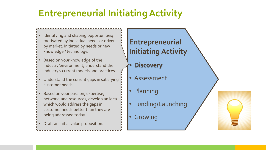- Identifying and shaping opportunities; motivated by individual needs or driven by market. Initiated by needs or new knowledge / technology.
- Based on your knowledge of the industry/environment, understand the industry's current models and practices.
- Understand the current gaps in satisfying customer needs.
- Based on your passion, expertise, network, and resources, develop an idea which would address the gaps in customer needs better than they are being addressed today.
- Draft an initial value proposition.

- **Discovery**
- Assessment
- Planning
- Funding/Launching
- Growing

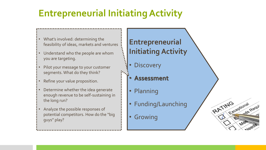- What's involved: determining the feasibility of ideas, markets and ventures
- Understand who the people are whom you are targeting.
- Pilot your message to your customer segments. What do they think?
- Refine your value proposition.
- Determine whether the idea generate enough revenue to be self-sustaining in the long run?
- Analyze the possible responses of potential competitors. How do the "big guys" play?

#### **Entrepreneurial Initiating Activity**

- **Discovery**
- **Assessment**
- Planning
- Funding/Launching

RATING<br>RATING

**Exceptional** 

Mee

nds Requi

• Growing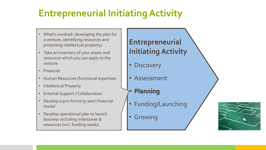- What's involved: developing the plan for a venture, identifying resources and protecting intellectual property)
- Take an inventory of your assets and resources which you can apply to the venture:
- Financial
- Human Resources (functional expertise)
- Intellectual Property
- **External Support / Collaboration**
- Develop a pro-forma (5-year) financial model
- Develop operational plan to launch business including milestones & resources (incl. funding needs)

- Discovery
- Assessment
- **Planning**
- Funding/Launching
- Growing

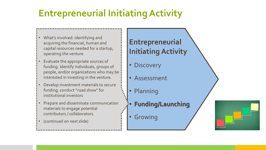- What's involved: identifying and acquiring the financial, human and capital resources needed for a startup, operating the venture
- Evaluate the appropriate sources of funding. Identify individuals, groups of people, and/or organizations who may be interested in investing in the venture.
- Develop investment materials to secure funding; conduct "road show" for institutional investors
- Prepare and disseminate communication materials to engage potential contributors / collaborators.
- (continued on next slide)

- Discovery
- **Assessment**
- Planning
- **Funding/Launching**
- Growing

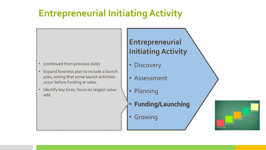- (continued from previous slide)
- Expand business plan to include a launch plan, noting that some launch activities occur before funding or sales.
- Identify key hires; focus on largest value add.

- Discovery
- Assessment
- Planning
- **Funding/Launching**
- Growing

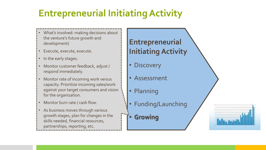- What's involved: making decisions about the venture's future growth and development)
- Execute, execute, execute.
- In the early stages:
- Monitor customer feedback, adjust / respond immediately.
- Monitor rate of incoming work versus capacity. Prioritize incoming sales/work against your target consumers and vision for the organization.
- Monitor burn rate / cash flow.
- As business moves through various growth stages, plan for changes in the skills needed, financial resources,
- partnerships, reporting, etc.

- Discovery
- **Assessment**
- Planning
- Funding/Launching
- **Growing**